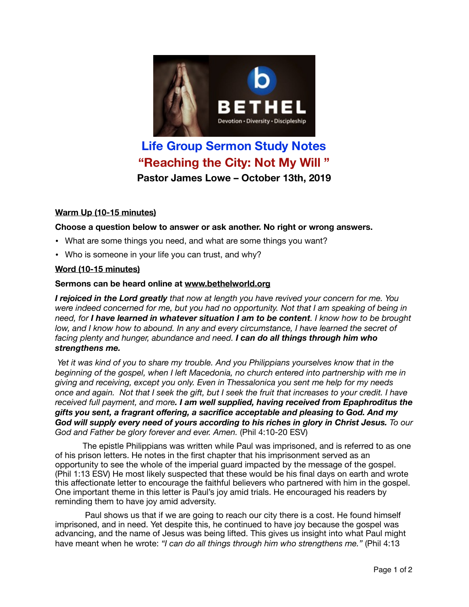

# **Life Group Sermon Study Notes "Reaching the City: Not My Will " Pastor James Lowe – October 13th, 2019**

## **Warm Up (10-15 minutes)**

#### **Choose a question below to answer or ask another. No right or wrong answers.**

- What are some things you need, and what are some things you want?
- Who is someone in your life you can trust, and why?

#### **Word (10-15 minutes)**

#### **Sermons can be heard online at [www.bethelworld.org](http://www.bethelworld.org)**

*I rejoiced in the Lord greatly that now at length you have revived your concern for me. You were indeed concerned for me, but you had no opportunity. Not that I am speaking of being in need, for I have learned in whatever situation I am to be content. I know how to be brought*  low, and I know how to abound. In any and every circumstance, I have learned the secret of *facing plenty and hunger, abundance and need. I can do all things through him who strengthens me.*

 *Yet it was kind of you to share my trouble. And you Philippians yourselves know that in the beginning of the gospel, when I left Macedonia, no church entered into partnership with me in giving and receiving, except you only. Even in Thessalonica you sent me help for my needs once and again. Not that I seek the gift, but I seek the fruit that increases to your credit. I have received full payment, and more. I am well supplied, having received from Epaphroditus the gifts you sent, a fragrant offering, a sacrifice acceptable and pleasing to God. And my God will supply every need of yours according to his riches in glory in Christ Jesus. To our God and Father be glory forever and ever. Amen.* (Phil 4:10-20 ESV)

The epistle Philippians was written while Paul was imprisoned, and is referred to as one of his prison letters. He notes in the first chapter that his imprisonment served as an opportunity to see the whole of the imperial guard impacted by the message of the gospel. (Phil 1:13 ESV) He most likely suspected that these would be his final days on earth and wrote this affectionate letter to encourage the faithful believers who partnered with him in the gospel. One important theme in this letter is Paul's joy amid trials. He encouraged his readers by reminding them to have joy amid adversity.

 Paul shows us that if we are going to reach our city there is a cost. He found himself imprisoned, and in need. Yet despite this, he continued to have joy because the gospel was advancing, and the name of Jesus was being lifted. This gives us insight into what Paul might have meant when he wrote: *"I can do all things through him who strengthens me."* (Phil 4:13